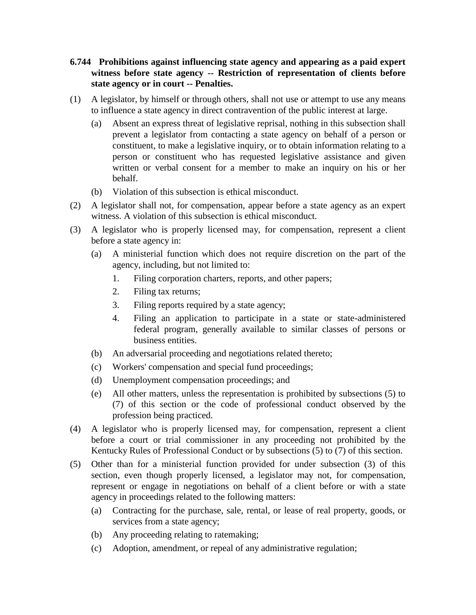- **6.744 Prohibitions against influencing state agency and appearing as a paid expert witness before state agency -- Restriction of representation of clients before state agency or in court -- Penalties.**
- (1) A legislator, by himself or through others, shall not use or attempt to use any means to influence a state agency in direct contravention of the public interest at large.
	- (a) Absent an express threat of legislative reprisal, nothing in this subsection shall prevent a legislator from contacting a state agency on behalf of a person or constituent, to make a legislative inquiry, or to obtain information relating to a person or constituent who has requested legislative assistance and given written or verbal consent for a member to make an inquiry on his or her behalf.
	- (b) Violation of this subsection is ethical misconduct.
- (2) A legislator shall not, for compensation, appear before a state agency as an expert witness. A violation of this subsection is ethical misconduct.
- (3) A legislator who is properly licensed may, for compensation, represent a client before a state agency in:
	- (a) A ministerial function which does not require discretion on the part of the agency, including, but not limited to:
		- 1. Filing corporation charters, reports, and other papers;
		- 2. Filing tax returns;
		- 3. Filing reports required by a state agency;
		- 4. Filing an application to participate in a state or state-administered federal program, generally available to similar classes of persons or business entities.
	- (b) An adversarial proceeding and negotiations related thereto;
	- (c) Workers' compensation and special fund proceedings;
	- (d) Unemployment compensation proceedings; and
	- (e) All other matters, unless the representation is prohibited by subsections (5) to (7) of this section or the code of professional conduct observed by the profession being practiced.
- (4) A legislator who is properly licensed may, for compensation, represent a client before a court or trial commissioner in any proceeding not prohibited by the Kentucky Rules of Professional Conduct or by subsections (5) to (7) of this section.
- (5) Other than for a ministerial function provided for under subsection (3) of this section, even though properly licensed, a legislator may not, for compensation, represent or engage in negotiations on behalf of a client before or with a state agency in proceedings related to the following matters:
	- (a) Contracting for the purchase, sale, rental, or lease of real property, goods, or services from a state agency;
	- (b) Any proceeding relating to ratemaking;
	- (c) Adoption, amendment, or repeal of any administrative regulation;